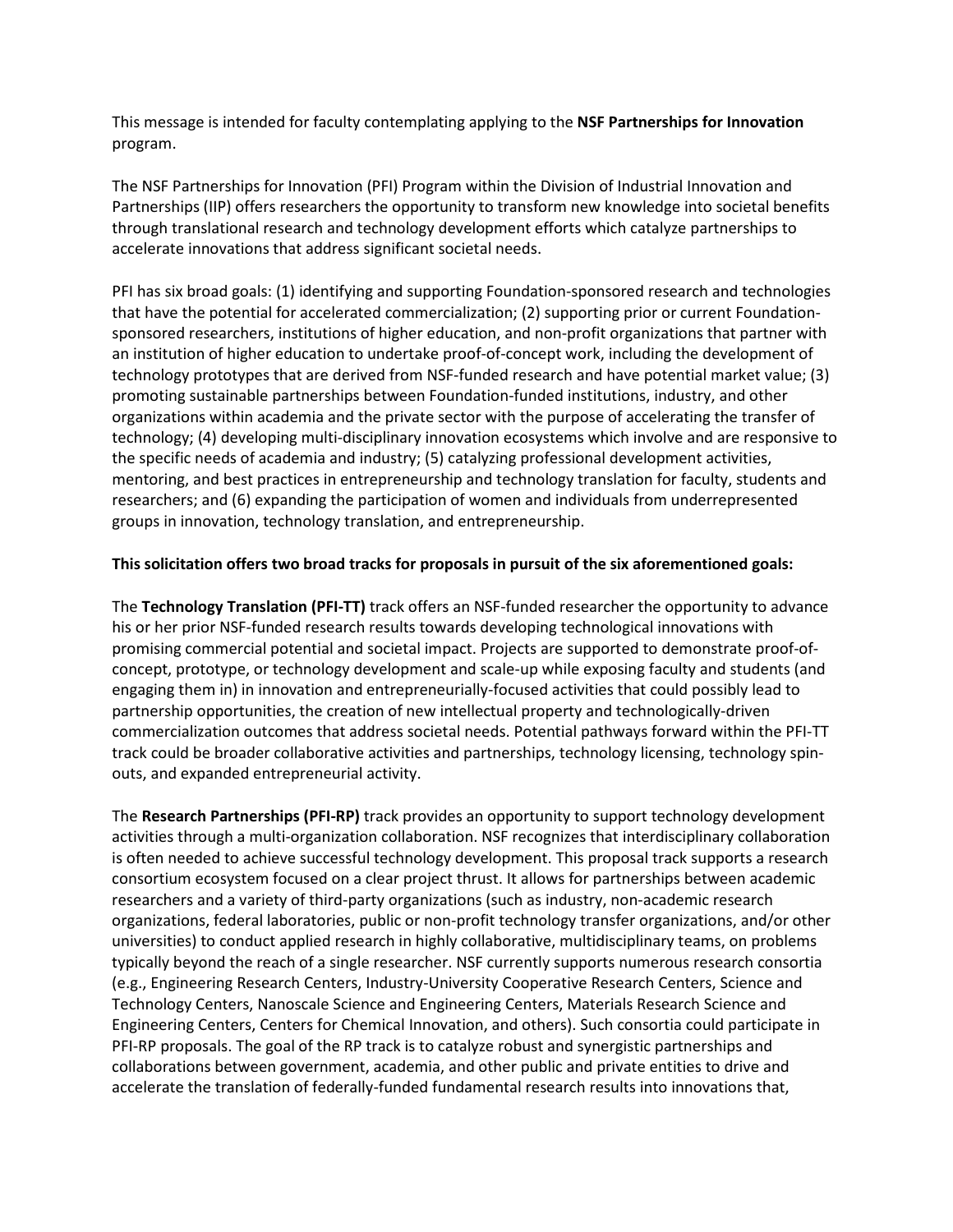This message is intended for faculty contemplating applying to the **NSF Partnerships for Innovation** program.

The NSF Partnerships for Innovation (PFI) Program within the Division of Industrial Innovation and Partnerships (IIP) offers researchers the opportunity to transform new knowledge into societal benefits through translational research and technology development efforts which catalyze partnerships to accelerate innovations that address significant societal needs.

PFI has six broad goals: (1) identifying and supporting Foundation-sponsored research and technologies that have the potential for accelerated commercialization; (2) supporting prior or current Foundationsponsored researchers, institutions of higher education, and non-profit organizations that partner with an institution of higher education to undertake proof-of-concept work, including the development of technology prototypes that are derived from NSF-funded research and have potential market value; (3) promoting sustainable partnerships between Foundation-funded institutions, industry, and other organizations within academia and the private sector with the purpose of accelerating the transfer of technology; (4) developing multi-disciplinary innovation ecosystems which involve and are responsive to the specific needs of academia and industry; (5) catalyzing professional development activities, mentoring, and best practices in entrepreneurship and technology translation for faculty, students and researchers; and (6) expanding the participation of women and individuals from underrepresented groups in innovation, technology translation, and entrepreneurship.

## **This solicitation offers two broad tracks for proposals in pursuit of the six aforementioned goals:**

The **Technology Translation (PFI-TT)** track offers an NSF-funded researcher the opportunity to advance his or her prior NSF-funded research results towards developing technological innovations with promising commercial potential and societal impact. Projects are supported to demonstrate proof-ofconcept, prototype, or technology development and scale-up while exposing faculty and students (and engaging them in) in innovation and entrepreneurially-focused activities that could possibly lead to partnership opportunities, the creation of new intellectual property and technologically-driven commercialization outcomes that address societal needs. Potential pathways forward within the PFI-TT track could be broader collaborative activities and partnerships, technology licensing, technology spinouts, and expanded entrepreneurial activity.

The **Research Partnerships (PFI-RP)** track provides an opportunity to support technology development activities through a multi-organization collaboration. NSF recognizes that interdisciplinary collaboration is often needed to achieve successful technology development. This proposal track supports a research consortium ecosystem focused on a clear project thrust. It allows for partnerships between academic researchers and a variety of third-party organizations (such as industry, non-academic research organizations, federal laboratories, public or non-profit technology transfer organizations, and/or other universities) to conduct applied research in highly collaborative, multidisciplinary teams, on problems typically beyond the reach of a single researcher. NSF currently supports numerous research consortia (e.g., Engineering Research Centers, Industry-University Cooperative Research Centers, Science and Technology Centers, Nanoscale Science and Engineering Centers, Materials Research Science and Engineering Centers, Centers for Chemical Innovation, and others). Such consortia could participate in PFI-RP proposals. The goal of the RP track is to catalyze robust and synergistic partnerships and collaborations between government, academia, and other public and private entities to drive and accelerate the translation of federally-funded fundamental research results into innovations that,